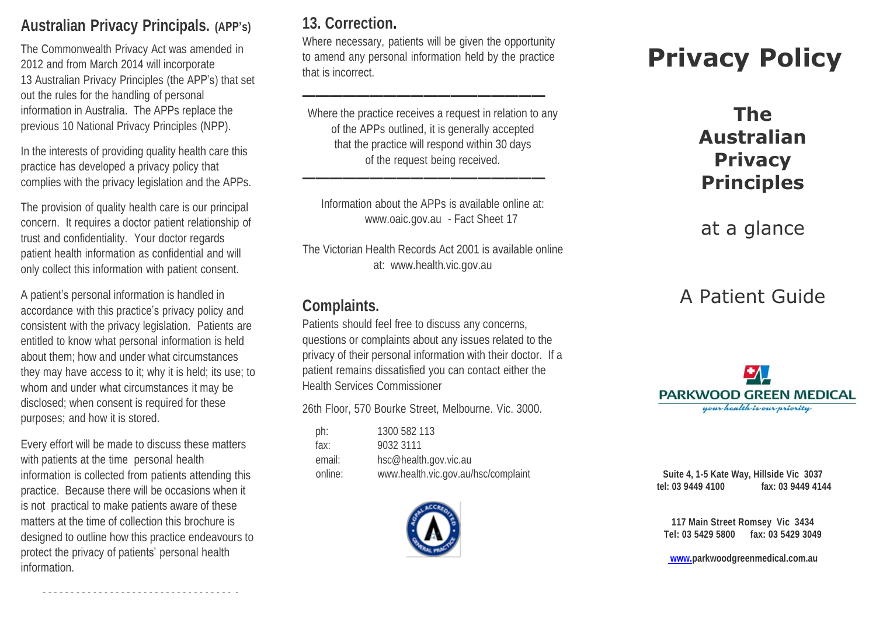#### **Australian Privacy Principals. (APP's)**

The Commonwealth Privacy Act was amended in 2012 and from March 2014 will incorporate 13 Australian Privacy Principles (the APP's) that set out the rules for the handling of personal information in Australia. The APPs replace the previous 10 National Privacy Principles (NPP).

In the interests of providing quality health care this practice has developed a privacy policy that complies with the privacy legislation and the APPs.

The provision of quality health care is our principal concern. It requires a doctor patient relationship of trust and confidentiality. Your doctor regards patient health information as confidential and will only collect this information with patient consent.

A patient's personal information is handled in accordance with this practice's privacy policy and consistent with the privacy legislation. Patients are entitled to know what personal information is held about them; how and under what circumstances they may have access to it; why it is held; its use; to whom and under what circumstances it may be disclosed; when consent is required for these purposes; and how it is stored.

Every effort will be made to discuss these matters with patients at the time personal health information is collected from patients attending this practice. Because there will be occasions when it is not practical to make patients aware of these matters at the time of collection this brochure is designed to outline how this practice endeavours to protect the privacy of patients' personal health information.

- - - - - - - - - - - - - - - - - - - - - - - - - - - - - - - - - - -

#### **13. Correction.**

Where necessary, patients will be given the opportunity to amend any personal information held by the practice that is incorrect.

**——————————————————**

Where the practice receives a request in relation to any of the APPs outlined, it is generally accepted that the practice will respond within 30 days of the request being received.

Information about the APPs is available online at: [www.oaic.gov.au](http://www.oaic.gov.au/) - Fact Sheet 17

**——————————————————**

The Victorian Health Records Act 2001 is available online at: [www.health.vic.gov.au](http://www.health.vic.gov.au/)

#### **Complaints.**

Patients should feel free to discuss any concerns, questions or complaints about any issues related to the privacy of their personal information with their doctor. If a patient remains dissatisfied you can contact either the Health Services Commissioner

26th Floor, 570 Bourke Street, Melbourne. Vic. 3000.

| 1300 582 113                        |
|-------------------------------------|
| 9032 3111                           |
| hsc@health.gov.vic.au               |
| www.health.vic.gov.au/hsc/complaint |
|                                     |



# **Privacy Policy**

# **The Australian Privacy Principles**

at a glance

# A Patient Guide



**Suite 4, 1-5 Kate Way, Hillside Vic 3037 tel: 03 9449 4100 fax: 03 9449 4144**

**117 Main Street Romsey Vic 3434 Tel: 03 5429 5800 fax: 03 5429 3049**

**www.parkwoodgreenmedical.com.au**